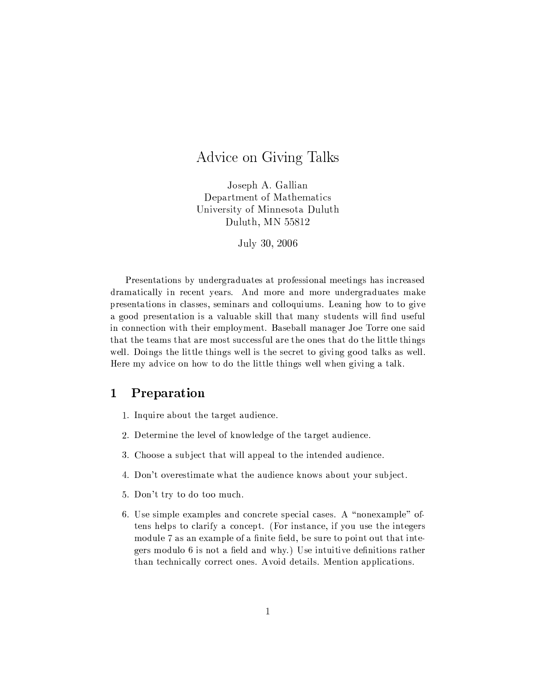## Advice on Giving Talks

Joseph A. Gallian Department of Mathematics University of Minnesota Duluth Duluth, MN 55812

July 30, 2006

Presentations by undergraduates at professional meetings has increased dramatically in recent years. And more and more undergraduates make presentations in classes, seminars and colloquiums. Leaning how to to give a good presentation is a valuable skill that many students will find useful in connection with their employment. Baseball manager Joe Torre one said that the teams that are most successful are the ones that do the little things well. Doings the little things well is the secret to giving good talks as well. Here my advice on how to do the little things well when giving a talk.

## $\mathbf{1}$ Preparation

- 1. Inquire about the target audience.
- 2. Determine the level of knowledge of the target audience.
- 3. Choose a subject that will appeal to the intended audience.
- 4. Don't overestimate what the audience knows about your subject.
- 5. Don't try to do too much.
- 6. Use simple examples and concrete special cases. A "nonexample" oftens helps to clarify a concept. (For instance, if you use the integers module 7 as an example of a finite field, be sure to point out that integers modulo 6 is not a field and why.) Use intuitive definitions rather than technically correct ones. Avoid details. Mention applications.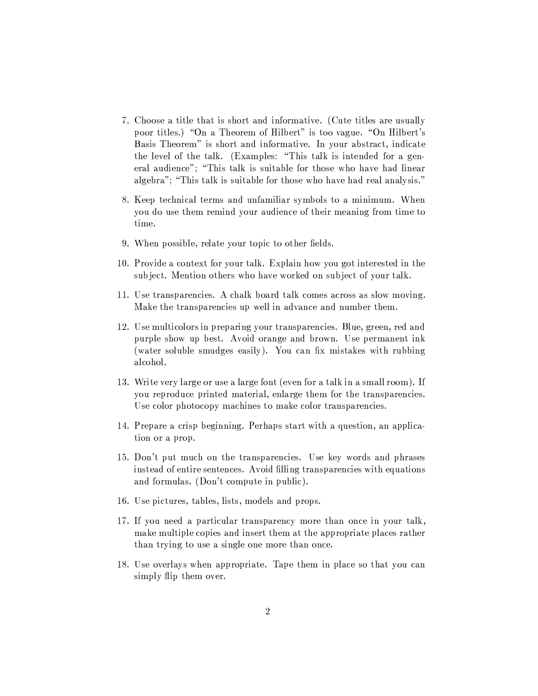- 7. Choose a title that is short and informative. (Cute titles are usually poor titles.) "On a Theorem of Hilbert" is too vague. "On Hilbert's Basis Theorem" is short and informative. In your abstract, indicate the level of the talk. (Examples: "This talk is intended for a general audience"; "This talk is suitable for those who have had linear algebra"; "This talk is suitable for those who have had real analysis."
- 8. Keep technical terms and unfamiliar symbols to a minimum. When you do use them remind your audience of their meaning from time to time.
- 9. When possible, relate your topic to other fields.
- 10. Provide a context for your talk. Explain how you got interested in the subject. Mention others who have worked on subject of your talk.
- 11. Use transparencies. A chalk board talk comes across as slow moving. Make the transparencies up well in advance and number them.
- 12. Use multicolors in preparing your transparencies. Blue, green, red and purple show up best. Avoid orange and brown. Use permanent ink (water soluble smudges easily). You can fix mistakes with rubbing alcohol.
- 13. Write very large or use a large font (even for a talk in a small room). If you reproduce printed material, enlarge them for the transparencies. Use color photocopy machines to make color transparencies.
- 14. Prepare a crisp beginning. Perhaps start with a question, an application or a prop.
- 15. Don't put much on the transparencies. Use key words and phrases instead of entire sentences. Avoid filling transparencies with equations and formulas. (Don't compute in public).
- 16. Use pictures, tables, lists, models and props.
- 17. If you need a particular transparency more than once in your talk, make multiple copies and insert them at the appropriate places rather than trying to use a single one more than once.
- 18. Use overlays when appropriate. Tape them in place so that you can simply flip them over.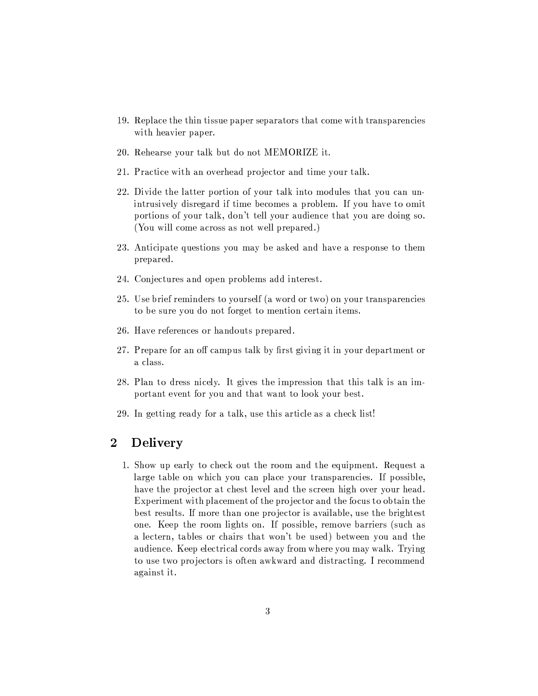- 19. Replace the thin tissue paper separators that come with transparencies with heavier paper.
- 20. Rehearse your talk but do not MEMORIZE it.
- 21. Practice with an overhead projector and time your talk.
- 22. Divide the latter portion of your talk into modules that you can unintrusively disregard if time becomes a problem. If you have to omit portions of your talk, don't tell your audience that you are doing so. (You will come across as not well prepared.)
- 23. Anticipate questions you may be asked and have a response to them prepared.
- 24. Conjectures and open problems add interest.
- 25. Use brief reminders to yourself (a word or two) on your transparencies to be sure you do not forget to mention certain items.
- 26. Have references or handouts prepared.
- 27. Prepare for an off campus talk by first giving it in your department or a class.
- 28. Plan to dress nicely. It gives the impression that this talk is an important event for you and that want to look your best.
- 29. In getting ready for a talk, use this article as a check list!

## $\overline{2}$ **Delivery**

1. Show up early to check out the room and the equipment. Request a large table on which you can place your transparencies. If possible, have the projector at chest level and the screen high over your head. Experiment with placement of the projector and the focus to obtain the best results. If more than one projector is available, use the brightest one. Keep the room lights on. If possible, remove barriers (such as a lectern, tables or chairs that won't be used) between you and the audience. Keep electrical cords away from where you may walk. Trying to use two projectors is often awkward and distracting. I recommend against it.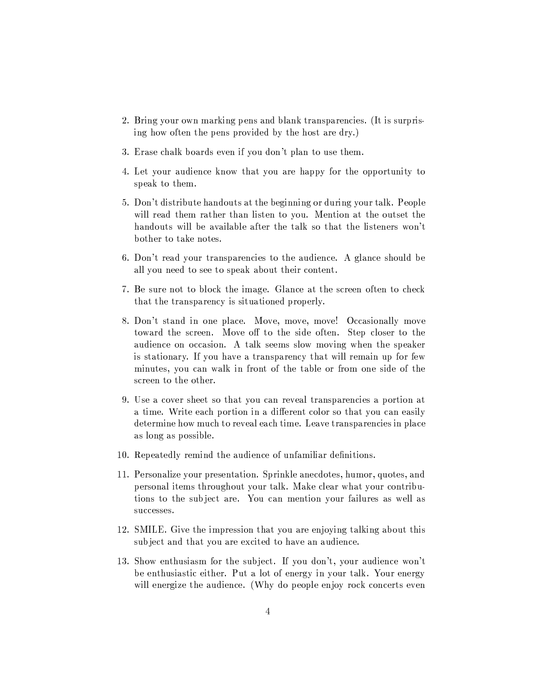- 2. Bring your own marking pens and blank transparencies. (It is surprising how often the pens provided by the host are dry.)
- 3. Erase chalk boards even if you don't plan to use them.
- 4. Let your audience know that you are happy for the opportunity to speak to them.
- 5. Don't distribute handouts at the beginning or during your talk. People will read them rather than listen to you. Mention at the outset the handouts will be available after the talk so that the listeners won't bother to take notes.
- 6. Don't read your transparencies to the audience. A glance should be all you need to see to speak about their content.
- 7. Be sure not to block the image. Glance at the screen often to check that the transparency is situationed properly.
- 8. Don't stand in one place. Move, move, move! Occasionally move toward the screen. Move off to the side often. Step closer to the audience on occasion. A talk seems slow moving when the speaker is stationary. If you have a transparency that will remain up for few minutes, you can walk in front of the table or from one side of the screen to the other.
- 9. Use a cover sheet so that you can reveal transparencies a portion at a time. Write each portion in a different color so that you can easily determine how much to reveal each time. Leave transparencies in place as long as possible.
- 10. Repeatedly remind the audience of unfamiliar definitions.
- 11. Personalize your presentation. Sprinkle anecdotes, humor, quotes, and personal items throughout your talk. Make clear what your contributions to the subject are. You can mention your failures as well as successes.
- 12. SMILE. Give the impression that you are enjoying talking about this subject and that you are excited to have an audience.
- 13. Show enthusiasm for the subject. If you don't, your audience won't be enthusiastic either. Put a lot of energy in your talk. Your energy will energize the audience. (Why do people enjoy rock concerts even